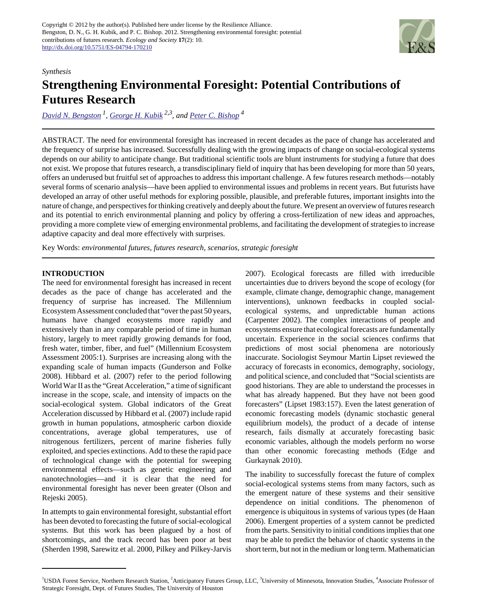

## *Synthesis*

# **Strengthening Environmental Foresight: Potential Contributions of Futures Research**

*[David N. Bengston](mailto:dbengston@fs.fed.us)<sup>1</sup> , [George H. Kubik](mailto:kubik005@umn.edu) 2,3, and [Peter C. Bishop](mailto:pbishop@uh.edu)<sup>4</sup>*

ABSTRACT. The need for environmental foresight has increased in recent decades as the pace of change has accelerated and the frequency of surprise has increased. Successfully dealing with the growing impacts of change on social-ecological systems depends on our ability to anticipate change. But traditional scientific tools are blunt instruments for studying a future that does not exist. We propose that futures research, a transdisciplinary field of inquiry that has been developing for more than 50 years, offers an underused but fruitful set of approaches to address this important challenge. A few futures research methods—notably several forms of scenario analysis—have been applied to environmental issues and problems in recent years. But futurists have developed an array of other useful methods for exploring possible, plausible, and preferable futures, important insights into the nature of change, and perspectives for thinking creatively and deeply about the future. We present an overview of futures research and its potential to enrich environmental planning and policy by offering a cross-fertilization of new ideas and approaches, providing a more complete view of emerging environmental problems, and facilitating the development of strategies to increase adaptive capacity and deal more effectively with surprises.

Key Words: *environmental futures, futures research, scenarios, strategic foresight*

# **INTRODUCTION**

The need for environmental foresight has increased in recent decades as the pace of change has accelerated and the frequency of surprise has increased. The Millennium Ecosystem Assessment concluded that "over the past 50 years, humans have changed ecosystems more rapidly and extensively than in any comparable period of time in human history, largely to meet rapidly growing demands for food, fresh water, timber, fiber, and fuel" (Millennium Ecosystem Assessment 2005:1). Surprises are increasing along with the expanding scale of human impacts (Gunderson and Folke 2008). Hibbard et al. (2007) refer to the period following World War II as the "Great Acceleration," a time of significant increase in the scope, scale, and intensity of impacts on the social-ecological system. Global indicators of the Great Acceleration discussed by Hibbard et al. (2007) include rapid growth in human populations, atmospheric carbon dioxide concentrations, average global temperatures, use of nitrogenous fertilizers, percent of marine fisheries fully exploited, and species extinctions. Add to these the rapid pace of technological change with the potential for sweeping environmental effects—such as genetic engineering and nanotechnologies—and it is clear that the need for environmental foresight has never been greater (Olson and Rejeski 2005).

In attempts to gain environmental foresight, substantial effort has been devoted to forecasting the future of social-ecological systems. But this work has been plagued by a host of shortcomings, and the track record has been poor at best (Sherden 1998, Sarewitz et al. 2000, Pilkey and Pilkey-Jarvis

2007). Ecological forecasts are filled with irreducible uncertainties due to drivers beyond the scope of ecology (for example, climate change, demographic change, management interventions), unknown feedbacks in coupled socialecological systems, and unpredictable human actions (Carpenter 2002). The complex interactions of people and ecosystems ensure that ecological forecasts are fundamentally uncertain. Experience in the social sciences confirms that predictions of most social phenomena are notoriously inaccurate. Sociologist Seymour Martin Lipset reviewed the accuracy of forecasts in economics, demography, sociology, and political science, and concluded that "Social scientists are good historians. They are able to understand the processes in what has already happened. But they have not been good forecasters" (Lipset 1983:157). Even the latest generation of economic forecasting models (dynamic stochastic general equilibrium models), the product of a decade of intense research, fails dismally at accurately forecasting basic economic variables, although the models perform no worse than other economic forecasting methods (Edge and Gurkaynak 2010).

The inability to successfully forecast the future of complex social-ecological systems stems from many factors, such as the emergent nature of these systems and their sensitive dependence on initial conditions. The phenomenon of emergence is ubiquitous in systems of various types (de Haan 2006). Emergent properties of a system cannot be predicted from the parts. Sensitivity to initial conditions implies that one may be able to predict the behavior of chaotic systems in the short term, but not in the medium or long term. Mathematician

<sup>&</sup>lt;sup>1</sup>USDA Forest Service, Northern Research Station, <sup>2</sup>Anticipatory Futures Group, LLC, <sup>3</sup>University of Minnesota, Innovation Studies, <sup>4</sup>Associate Professor of Strategic Foresight, Dept. of Futures Studies, The University of Houston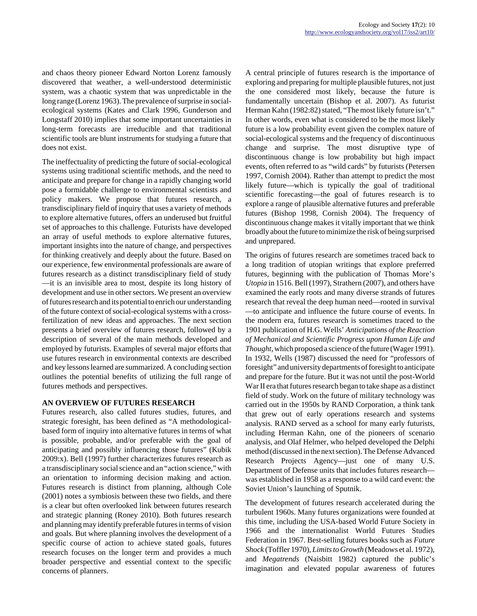and chaos theory pioneer Edward Norton Lorenz famously discovered that weather, a well-understood deterministic system, was a chaotic system that was unpredictable in the long range (Lorenz 1963). The prevalence of surprise in socialecological systems (Kates and Clark 1996, Gunderson and Longstaff 2010) implies that some important uncertainties in long-term forecasts are irreducible and that traditional scientific tools are blunt instruments for studying a future that does not exist.

The ineffectuality of predicting the future of social-ecological systems using traditional scientific methods, and the need to anticipate and prepare for change in a rapidly changing world pose a formidable challenge to environmental scientists and policy makers. We propose that futures research, a transdisciplinary field of inquiry that uses a variety of methods to explore alternative futures, offers an underused but fruitful set of approaches to this challenge. Futurists have developed an array of useful methods to explore alternative futures, important insights into the nature of change, and perspectives for thinking creatively and deeply about the future. Based on our experience, few environmental professionals are aware of futures research as a distinct transdisciplinary field of study —it is an invisible area to most, despite its long history of development and use in other sectors. We present an overview of futures research and its potential to enrich our understanding of the future context of social-ecological systems with a crossfertilization of new ideas and approaches. The next section presents a brief overview of futures research, followed by a description of several of the main methods developed and employed by futurists. Examples of several major efforts that use futures research in environmental contexts are described and key lessons learned are summarized. A concluding section outlines the potential benefits of utilizing the full range of futures methods and perspectives.

## **AN OVERVIEW OF FUTURES RESEARCH**

Futures research, also called futures studies, futures, and strategic foresight, has been defined as "A methodologicalbased form of inquiry into alternative futures in terms of what is possible, probable, and/or preferable with the goal of anticipating and possibly influencing those futures" (Kubik 2009:x). Bell (1997) further characterizes futures research as a transdisciplinary social science and an "action science," with an orientation to informing decision making and action. Futures research is distinct from planning, although Cole (2001) notes a symbiosis between these two fields, and there is a clear but often overlooked link between futures research and strategic planning (Roney 2010). Both futures research and planning may identify preferable futures in terms of vision and goals. But where planning involves the development of a specific course of action to achieve stated goals, futures research focuses on the longer term and provides a much broader perspective and essential context to the specific concerns of planners.

A central principle of futures research is the importance of exploring and preparing for multiple plausible futures, not just the one considered most likely, because the future is fundamentally uncertain (Bishop et al. 2007). As futurist Herman Kahn (1982:82) stated, "The most likely future isn't." In other words, even what is considered to be the most likely future is a low probability event given the complex nature of social-ecological systems and the frequency of discontinuous change and surprise. The most disruptive type of discontinuous change is low probability but high impact events, often referred to as "wild cards" by futurists (Petersen 1997, Cornish 2004). Rather than attempt to predict the most likely future—which is typically the goal of traditional scientific forecasting—the goal of futures research is to explore a range of plausible alternative futures and preferable futures (Bishop 1998, Cornish 2004). The frequency of discontinuous change makes it vitally important that we think broadly about the future to minimize the risk of being surprised and unprepared.

The origins of futures research are sometimes traced back to a long tradition of utopian writings that explore preferred futures, beginning with the publication of Thomas More's *Utopia* in 1516. Bell (1997), Strathern (2007), and others have examined the early roots and many diverse strands of futures research that reveal the deep human need—rooted in survival —to anticipate and influence the future course of events. In the modern era, futures research is sometimes traced to the 1901 publication of H.G. Wells' *Anticipations of the Reaction of Mechanical and Scientific Progress upon Human Life and Thought*, which proposed a science of the future (Wager 1991). In 1932, Wells (1987) discussed the need for "professors of foresight" and university departments of foresight to anticipate and prepare for the future. But it was not until the post-World War II era that futures research began to take shape as a distinct field of study. Work on the future of military technology was carried out in the 1950s by RAND Corporation, a think tank that grew out of early operations research and systems analysis. RAND served as a school for many early futurists, including Herman Kahn, one of the pioneers of scenario analysis, and Olaf Helmer, who helped developed the Delphi method (discussed in the next section). The Defense Advanced Research Projects Agency—just one of many U.S. Department of Defense units that includes futures research was established in 1958 as a response to a wild card event: the Soviet Union's launching of Sputnik.

The development of futures research accelerated during the turbulent 1960s. Many futures organizations were founded at this time, including the USA-based World Future Society in 1966 and the internationalist World Futures Studies Federation in 1967. Best-selling futures books such as *Future Shock* (Toffler 1970), *Limits to Growth* (Meadows et al. 1972), and *Megatrends* (Naisbitt 1982) captured the public's imagination and elevated popular awareness of futures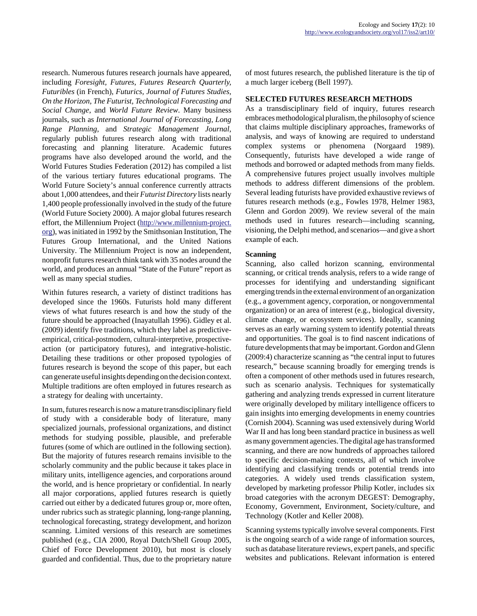research. Numerous futures research journals have appeared, including *Foresight, Futures*, *Futures Research Quarterly, Futuribles* (in French), *Futurics, Journal of Futures Studies, On the Horizon, The Futurist, Technological Forecasting and Social Change*, and *World Future Review*. Many business journals, such as *International Journal of Forecasting, Long Range Planning*, and *Strategic Management Journal*, regularly publish futures research along with traditional forecasting and planning literature. Academic futures programs have also developed around the world, and the World Futures Studies Federation (2012) has compiled a list of the various tertiary futures educational programs. The World Future Society's annual conference currently attracts about 1,000 attendees, and their *Futurist Directory* lists nearly 1,400 people professionally involved in the study of the future (World Future Society 2000). A major global futures research effort, the Millennium Project ([http://www.millennium-project.](http://www.millennium-project.org) [org](http://www.millennium-project.org)), was initiated in 1992 by the Smithsonian Institution, The Futures Group International, and the United Nations University. The Millennium Project is now an independent, nonprofit futures research think tank with 35 nodes around the world, and produces an annual "State of the Future" report as well as many special studies.

Within futures research, a variety of distinct traditions has developed since the 1960s. Futurists hold many different views of what futures research is and how the study of the future should be approached (Inayatullah 1996). Gidley et al. (2009) identify five traditions, which they label as predictiveempirical, critical-postmodern, cultural-interpretive, prospectiveaction (or participatory futures), and integrative-holistic. Detailing these traditions or other proposed typologies of futures research is beyond the scope of this paper, but each can generate useful insights depending on the decision context. Multiple traditions are often employed in futures research as a strategy for dealing with uncertainty.

In sum, futures research is now a mature transdisciplinary field of study with a considerable body of literature, many specialized journals, professional organizations, and distinct methods for studying possible, plausible, and preferable futures (some of which are outlined in the following section). But the majority of futures research remains invisible to the scholarly community and the public because it takes place in military units, intelligence agencies, and corporations around the world, and is hence proprietary or confidential. In nearly all major corporations, applied futures research is quietly carried out either by a dedicated futures group or, more often, under rubrics such as strategic planning, long-range planning, technological forecasting, strategy development, and horizon scanning. Limited versions of this research are sometimes published (e.g., CIA 2000, Royal Dutch/Shell Group 2005, Chief of Force Development 2010), but most is closely guarded and confidential. Thus, due to the proprietary nature of most futures research, the published literature is the tip of a much larger iceberg (Bell 1997).

## **SELECTED FUTURES RESEARCH METHODS**

As a transdisciplinary field of inquiry, futures research embraces methodological pluralism, the philosophy of science that claims multiple disciplinary approaches, frameworks of analysis, and ways of knowing are required to understand complex systems or phenomena (Norgaard 1989). Consequently, futurists have developed a wide range of methods and borrowed or adapted methods from many fields. A comprehensive futures project usually involves multiple methods to address different dimensions of the problem. Several leading futurists have provided exhaustive reviews of futures research methods (e.g., Fowles 1978, Helmer 1983, Glenn and Gordon 2009). We review several of the main methods used in futures research—including scanning, visioning, the Delphi method, and scenarios—and give a short example of each.

## **Scanning**

Scanning, also called horizon scanning, environmental scanning, or critical trends analysis, refers to a wide range of processes for identifying and understanding significant emerging trends in the external environment of an organization (e.g., a government agency, corporation, or nongovernmental organization) or an area of interest (e.g., biological diversity, climate change, or ecosystem services). Ideally, scanning serves as an early warning system to identify potential threats and opportunities. The goal is to find nascent indications of future developments that may be important. Gordon and Glenn (2009:4) characterize scanning as "the central input to futures research," because scanning broadly for emerging trends is often a component of other methods used in futures research, such as scenario analysis. Techniques for systematically gathering and analyzing trends expressed in current literature were originally developed by military intelligence officers to gain insights into emerging developments in enemy countries (Cornish 2004). Scanning was used extensively during World War II and has long been standard practice in business as well as many government agencies. The digital age has transformed scanning, and there are now hundreds of approaches tailored to specific decision-making contexts, all of which involve identifying and classifying trends or potential trends into categories. A widely used trends classification system, developed by marketing professor Philip Kotler, includes six broad categories with the acronym DEGEST: Demography, Economy, Government, Environment, Society/culture, and Technology (Kotler and Keller 2008).

Scanning systems typically involve several components. First is the ongoing search of a wide range of information sources, such as database literature reviews, expert panels, and specific websites and publications. Relevant information is entered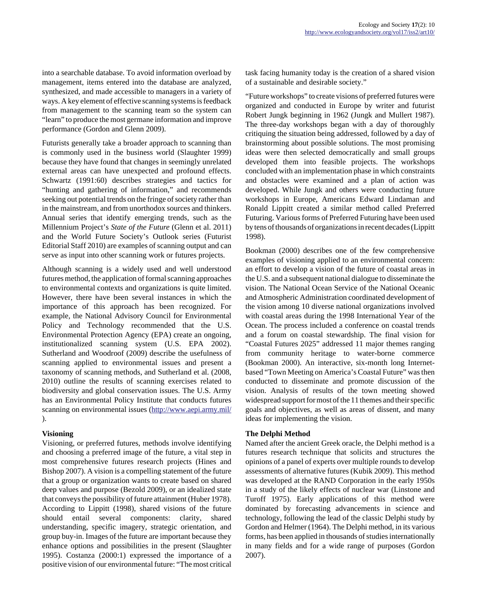into a searchable database. To avoid information overload by management, items entered into the database are analyzed, synthesized, and made accessible to managers in a variety of ways. A key element of effective scanning systems is feedback from management to the scanning team so the system can "learn" to produce the most germane information and improve performance (Gordon and Glenn 2009).

Futurists generally take a broader approach to scanning than is commonly used in the business world (Slaughter 1999) because they have found that changes in seemingly unrelated external areas can have unexpected and profound effects. Schwartz (1991:60) describes strategies and tactics for "hunting and gathering of information," and recommends seeking out potential trends on the fringe of society rather than in the mainstream, and from unorthodox sources and thinkers. Annual series that identify emerging trends, such as the Millennium Project's *State of the Future* (Glenn et al. 2011) and the World Future Society's Outlook series (Futurist Editorial Staff 2010) are examples of scanning output and can serve as input into other scanning work or futures projects.

Although scanning is a widely used and well understood futures method, the application of formal scanning approaches to environmental contexts and organizations is quite limited. However, there have been several instances in which the importance of this approach has been recognized. For example, the National Advisory Council for Environmental Policy and Technology recommended that the U.S. Environmental Protection Agency (EPA) create an ongoing, institutionalized scanning system (U.S. EPA 2002). Sutherland and Woodroof (2009) describe the usefulness of scanning applied to environmental issues and present a taxonomy of scanning methods, and Sutherland et al. (2008, 2010) outline the results of scanning exercises related to biodiversity and global conservation issues. The U.S. Army has an Environmental Policy Institute that conducts futures scanning on environmental issues (<http://www.aepi.army.mil/> ).

# **Visioning**

Visioning, or preferred futures, methods involve identifying and choosing a preferred image of the future, a vital step in most comprehensive futures research projects (Hines and Bishop 2007). A vision is a compelling statement of the future that a group or organization wants to create based on shared deep values and purpose (Bezold 2009), or an idealized state that conveys the possibility of future attainment (Huber 1978). According to Lippitt (1998), shared visions of the future should entail several components: clarity, shared understanding, specific imagery, strategic orientation, and group buy-in. Images of the future are important because they enhance options and possibilities in the present (Slaughter 1995). Costanza (2000:1) expressed the importance of a positive vision of our environmental future: "The most critical task facing humanity today is the creation of a shared vision of a sustainable and desirable society."

"Future workshops" to create visions of preferred futures were organized and conducted in Europe by writer and futurist Robert Jungk beginning in 1962 (Jungk and Mullert 1987). The three-day workshops began with a day of thoroughly critiquing the situation being addressed, followed by a day of brainstorming about possible solutions. The most promising ideas were then selected democratically and small groups developed them into feasible projects. The workshops concluded with an implementation phase in which constraints and obstacles were examined and a plan of action was developed. While Jungk and others were conducting future workshops in Europe, Americans Edward Lindaman and Ronald Lippitt created a similar method called Preferred Futuring. Various forms of Preferred Futuring have been used by tens of thousands of organizations in recent decades (Lippitt 1998).

Bookman (2000) describes one of the few comprehensive examples of visioning applied to an environmental concern: an effort to develop a vision of the future of coastal areas in the U.S. and a subsequent national dialogue to disseminate the vision. The National Ocean Service of the National Oceanic and Atmospheric Administration coordinated development of the vision among 10 diverse national organizations involved with coastal areas during the 1998 International Year of the Ocean. The process included a conference on coastal trends and a forum on coastal stewardship. The final vision for "Coastal Futures 2025" addressed 11 major themes ranging from community heritage to water-borne commerce (Bookman 2000). An interactive, six-month long Internetbased "Town Meeting on America's Coastal Future" was then conducted to disseminate and promote discussion of the vision. Analysis of results of the town meeting showed widespread support for most of the 11 themes and their specific goals and objectives, as well as areas of dissent, and many ideas for implementing the vision.

# **The Delphi Method**

Named after the ancient Greek oracle, the Delphi method is a futures research technique that solicits and structures the opinions of a panel of experts over multiple rounds to develop assessments of alternative futures (Kubik 2009). This method was developed at the RAND Corporation in the early 1950s in a study of the likely effects of nuclear war (Linstone and Turoff 1975). Early applications of this method were dominated by forecasting advancements in science and technology, following the lead of the classic Delphi study by Gordon and Helmer (1964). The Delphi method, in its various forms, has been applied in thousands of studies internationally in many fields and for a wide range of purposes (Gordon 2007).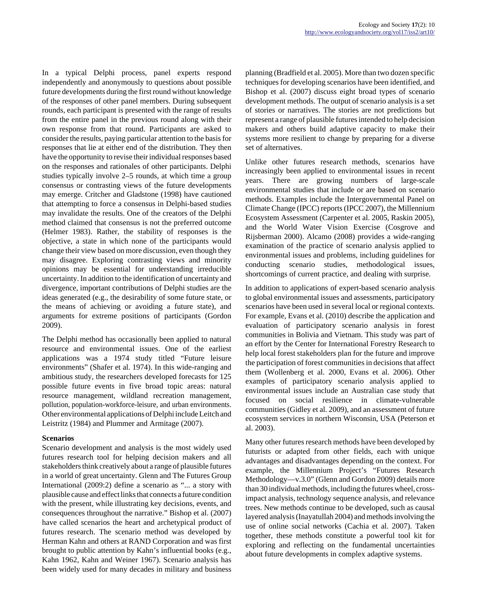In a typical Delphi process, panel experts respond independently and anonymously to questions about possible future developments during the first round without knowledge of the responses of other panel members. During subsequent rounds, each participant is presented with the range of results from the entire panel in the previous round along with their own response from that round. Participants are asked to consider the results, paying particular attention to the basis for responses that lie at either end of the distribution. They then have the opportunity to revise their individual responses based on the responses and rationales of other participants. Delphi studies typically involve 2–5 rounds, at which time a group consensus or contrasting views of the future developments may emerge. Critcher and Gladstone (1998) have cautioned that attempting to force a consensus in Delphi-based studies may invalidate the results. One of the creators of the Delphi method claimed that consensus is not the preferred outcome (Helmer 1983). Rather, the stability of responses is the objective, a state in which none of the participants would change their view based on more discussion, even though they may disagree. Exploring contrasting views and minority opinions may be essential for understanding irreducible uncertainty. In addition to the identification of uncertainty and divergence, important contributions of Delphi studies are the ideas generated (e.g., the desirability of some future state, or the means of achieving or avoiding a future state), and arguments for extreme positions of participants (Gordon 2009).

The Delphi method has occasionally been applied to natural resource and environmental issues. One of the earliest applications was a 1974 study titled "Future leisure environments" (Shafer et al. 1974). In this wide-ranging and ambitious study, the researchers developed forecasts for 125 possible future events in five broad topic areas: natural resource management, wildland recreation management, pollution, population-workforce-leisure, and urban environments. Other environmental applications of Delphi include Leitch and Leistritz (1984) and Plummer and Armitage (2007).

# **Scenarios**

Scenario development and analysis is the most widely used futures research tool for helping decision makers and all stakeholders think creatively about a range of plausible futures in a world of great uncertainty. Glenn and The Futures Group International (2009:2) define a scenario as "... a story with plausible cause and effect links that connects a future condition with the present, while illustrating key decisions, events, and consequences throughout the narrative." Bishop et al. (2007) have called scenarios the heart and archetypical product of futures research. The scenario method was developed by Herman Kahn and others at RAND Corporation and was first brought to public attention by Kahn's influential books (e.g., Kahn 1962, Kahn and Weiner 1967). Scenario analysis has been widely used for many decades in military and business planning (Bradfield et al. 2005). More than two dozen specific techniques for developing scenarios have been identified, and Bishop et al. (2007) discuss eight broad types of scenario development methods. The output of scenario analysis is a set of stories or narratives. The stories are not predictions but represent a range of plausible futures intended to help decision makers and others build adaptive capacity to make their systems more resilient to change by preparing for a diverse set of alternatives.

Unlike other futures research methods, scenarios have increasingly been applied to environmental issues in recent years. There are growing numbers of large-scale environmental studies that include or are based on scenario methods. Examples include the Intergovernmental Panel on Climate Change (IPCC) reports (IPCC 2007), the Millennium Ecosystem Assessment (Carpenter et al. 2005, Raskin 2005), and the World Water Vision Exercise (Cosgrove and Rijsberman 2000). Alcamo (2008) provides a wide-ranging examination of the practice of scenario analysis applied to environmental issues and problems, including guidelines for conducting scenario studies, methodological issues, shortcomings of current practice, and dealing with surprise.

In addition to applications of expert-based scenario analysis to global environmental issues and assessments, participatory scenarios have been used in several local or regional contexts. For example, Evans et al. (2010) describe the application and evaluation of participatory scenario analysis in forest communities in Bolivia and Vietnam. This study was part of an effort by the Center for International Forestry Research to help local forest stakeholders plan for the future and improve the participation of forest communities in decisions that affect them (Wollenberg et al. 2000, Evans et al. 2006). Other examples of participatory scenario analysis applied to environmental issues include an Australian case study that focused on social resilience in climate-vulnerable communities (Gidley et al. 2009), and an assessment of future ecosystem services in northern Wisconsin, USA (Peterson et al. 2003).

Many other futures research methods have been developed by futurists or adapted from other fields, each with unique advantages and disadvantages depending on the context. For example, the Millennium Project's "Futures Research Methodology—v.3.0" (Glenn and Gordon 2009) details more than 30 individual methods, including the futures wheel, crossimpact analysis, technology sequence analysis, and relevance trees. New methods continue to be developed, such as causal layered analysis (Inayatullah 2004) and methods involving the use of online social networks (Cachia et al. 2007). Taken together, these methods constitute a powerful tool kit for exploring and reflecting on the fundamental uncertainties about future developments in complex adaptive systems.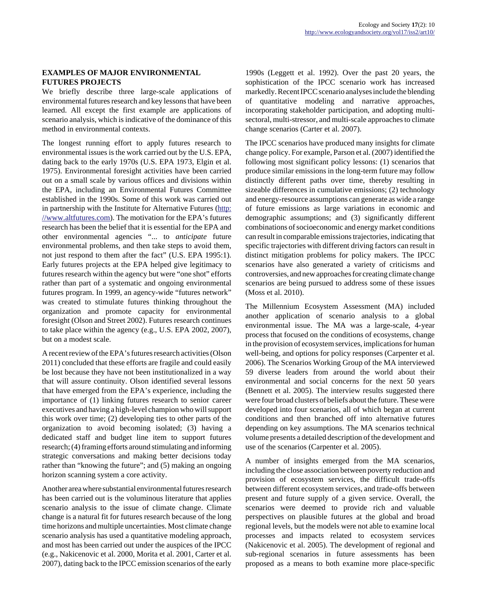# **EXAMPLES OF MAJOR ENVIRONMENTAL FUTURES PROJECTS**

We briefly describe three large-scale applications of environmental futures research and key lessons that have been learned. All except the first example are applications of scenario analysis, which is indicative of the dominance of this method in environmental contexts.

The longest running effort to apply futures research to environmental issues is the work carried out by the U.S. EPA, dating back to the early 1970s (U.S. EPA 1973, Elgin et al. 1975). Environmental foresight activities have been carried out on a small scale by various offices and divisions within the EPA, including an Environmental Futures Committee established in the 1990s. Some of this work was carried out in partnership with the Institute for Alternative Futures ([http:](http://www.altfutures.com) [//www.altfutures.com](http://www.altfutures.com)). The motivation for the EPA's futures research has been the belief that it is essential for the EPA and other environmental agencies "... to *anticipate* future environmental problems, and then take steps to avoid them, not just respond to them after the fact" (U.S. EPA 1995:1). Early futures projects at the EPA helped give legitimacy to futures research within the agency but were "one shot" efforts rather than part of a systematic and ongoing environmental futures program. In 1999, an agency-wide "futures network" was created to stimulate futures thinking throughout the organization and promote capacity for environmental foresight (Olson and Street 2002). Futures research continues to take place within the agency (e.g., U.S. EPA 2002, 2007), but on a modest scale.

A recent review of the EPA's futures research activities (Olson 2011) concluded that these efforts are fragile and could easily be lost because they have not been institutionalized in a way that will assure continuity. Olson identified several lessons that have emerged from the EPA's experience, including the importance of (1) linking futures research to senior career executives and having a high-level champion who will support this work over time; (2) developing ties to other parts of the organization to avoid becoming isolated; (3) having a dedicated staff and budget line item to support futures research; (4) framing efforts around stimulating and informing strategic conversations and making better decisions today rather than "knowing the future"; and (5) making an ongoing horizon scanning system a core activity.

Another area where substantial environmental futures research has been carried out is the voluminous literature that applies scenario analysis to the issue of climate change. Climate change is a natural fit for futures research because of the long time horizons and multiple uncertainties. Most climate change scenario analysis has used a quantitative modeling approach, and most has been carried out under the auspices of the IPCC (e.g., Nakicenovic et al. 2000, Morita et al. 2001, Carter et al. 2007), dating back to the IPCC emission scenarios of the early

1990s (Leggett et al. 1992). Over the past 20 years, the sophistication of the IPCC scenario work has increased markedly. Recent IPCC scenario analyses include the blending of quantitative modeling and narrative approaches, incorporating stakeholder participation, and adopting multisectoral, multi-stressor, and multi-scale approaches to climate change scenarios (Carter et al. 2007).

The IPCC scenarios have produced many insights for climate change policy. For example, Parson et al. (2007) identified the following most significant policy lessons: (1) scenarios that produce similar emissions in the long-term future may follow distinctly different paths over time, thereby resulting in sizeable differences in cumulative emissions; (2) technology and energy-resource assumptions can generate as wide a range of future emissions as large variations in economic and demographic assumptions; and (3) significantly different combinations of socioeconomic and energy market conditions can result in comparable emissions trajectories, indicating that specific trajectories with different driving factors can result in distinct mitigation problems for policy makers. The IPCC scenarios have also generated a variety of criticisms and controversies, and new approaches for creating climate change scenarios are being pursued to address some of these issues (Moss et al. 2010).

The Millennium Ecosystem Assessment (MA) included another application of scenario analysis to a global environmental issue. The MA was a large-scale, 4-year process that focused on the conditions of ecosystems, change in the provision of ecosystem services, implications for human well-being, and options for policy responses (Carpenter et al. 2006). The Scenarios Working Group of the MA interviewed 59 diverse leaders from around the world about their environmental and social concerns for the next 50 years (Bennett et al. 2005). The interview results suggested there were four broad clusters of beliefs about the future. These were developed into four scenarios, all of which began at current conditions and then branched off into alternative futures depending on key assumptions. The MA scenarios technical volume presents a detailed description of the development and use of the scenarios (Carpenter et al. 2005).

A number of insights emerged from the MA scenarios, including the close association between poverty reduction and provision of ecosystem services, the difficult trade-offs between different ecosystem services, and trade-offs between present and future supply of a given service. Overall, the scenarios were deemed to provide rich and valuable perspectives on plausible futures at the global and broad regional levels, but the models were not able to examine local processes and impacts related to ecosystem services (Nakicenovic et al. 2005). The development of regional and sub-regional scenarios in future assessments has been proposed as a means to both examine more place-specific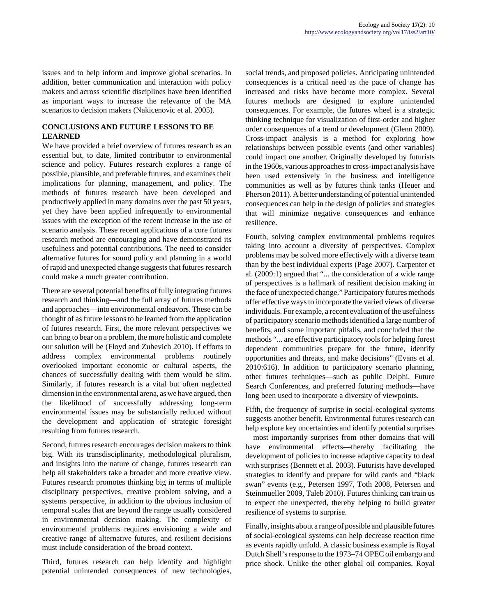issues and to help inform and improve global scenarios. In addition, better communication and interaction with policy makers and across scientific disciplines have been identified as important ways to increase the relevance of the MA scenarios to decision makers (Nakicenovic et al. 2005).

## **CONCLUSIONS AND FUTURE LESSONS TO BE LEARNED**

We have provided a brief overview of futures research as an essential but, to date, limited contributor to environmental science and policy. Futures research explores a range of possible, plausible, and preferable futures, and examines their implications for planning, management, and policy. The methods of futures research have been developed and productively applied in many domains over the past 50 years, yet they have been applied infrequently to environmental issues with the exception of the recent increase in the use of scenario analysis. These recent applications of a core futures research method are encouraging and have demonstrated its usefulness and potential contributions. The need to consider alternative futures for sound policy and planning in a world of rapid and unexpected change suggests that futures research could make a much greater contribution.

There are several potential benefits of fully integrating futures research and thinking—and the full array of futures methods and approaches—into environmental endeavors. These can be thought of as future lessons to be learned from the application of futures research. First, the more relevant perspectives we can bring to bear on a problem, the more holistic and complete our solution will be (Floyd and Zubevich 2010). If efforts to address complex environmental problems routinely overlooked important economic or cultural aspects, the chances of successfully dealing with them would be slim. Similarly, if futures research is a vital but often neglected dimension in the environmental arena, as we have argued, then the likelihood of successfully addressing long-term environmental issues may be substantially reduced without the development and application of strategic foresight resulting from futures research.

Second, futures research encourages decision makers to think big. With its transdisciplinarity, methodological pluralism, and insights into the nature of change, futures research can help all stakeholders take a broader and more creative view. Futures research promotes thinking big in terms of multiple disciplinary perspectives, creative problem solving, and a systems perspective, in addition to the obvious inclusion of temporal scales that are beyond the range usually considered in environmental decision making. The complexity of environmental problems requires envisioning a wide and creative range of alternative futures, and resilient decisions must include consideration of the broad context.

Third, futures research can help identify and highlight potential unintended consequences of new technologies, social trends, and proposed policies. Anticipating unintended consequences is a critical need as the pace of change has increased and risks have become more complex. Several futures methods are designed to explore unintended consequences. For example, the futures wheel is a strategic thinking technique for visualization of first-order and higher order consequences of a trend or development (Glenn 2009). Cross-impact analysis is a method for exploring how relationships between possible events (and other variables) could impact one another. Originally developed by futurists in the 1960s, various approaches to cross-impact analysis have been used extensively in the business and intelligence communities as well as by futures think tanks (Heuer and Pherson 2011). A better understanding of potential unintended consequences can help in the design of policies and strategies that will minimize negative consequences and enhance resilience.

Fourth, solving complex environmental problems requires taking into account a diversity of perspectives. Complex problems may be solved more effectively with a diverse team than by the best individual experts (Page 2007). Carpenter et al. (2009:1) argued that "... the consideration of a wide range of perspectives is a hallmark of resilient decision making in the face of unexpected change." Participatory futures methods offer effective ways to incorporate the varied views of diverse individuals. For example, a recent evaluation of the usefulness of participatory scenario methods identified a large number of benefits, and some important pitfalls, and concluded that the methods "... are effective participatory tools for helping forest dependent communities prepare for the future, identify opportunities and threats, and make decisions" (Evans et al. 2010:616). In addition to participatory scenario planning, other futures techniques—such as public Delphi, Future Search Conferences, and preferred futuring methods—have long been used to incorporate a diversity of viewpoints.

Fifth, the frequency of surprise in social-ecological systems suggests another benefit. Environmental futures research can help explore key uncertainties and identify potential surprises —most importantly surprises from other domains that will have environmental effects—thereby facilitating the development of policies to increase adaptive capacity to deal with surprises (Bennett et al. 2003). Futurists have developed strategies to identify and prepare for wild cards and "black swan" events (e.g., Petersen 1997, Toth 2008, Petersen and Steinmueller 2009, Taleb 2010). Futures thinking can train us to expect the unexpected, thereby helping to build greater resilience of systems to surprise.

Finally, insights about a range of possible and plausible futures of social-ecological systems can help decrease reaction time as events rapidly unfold. A classic business example is Royal Dutch Shell's response to the 1973–74 OPEC oil embargo and price shock. Unlike the other global oil companies, Royal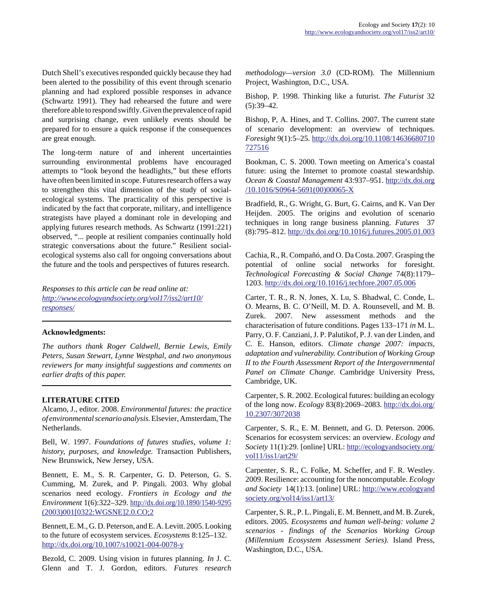Dutch Shell's executives responded quickly because they had been alerted to the possibility of this event through scenario planning and had explored possible responses in advance (Schwartz 1991). They had rehearsed the future and were therefore able to respond swiftly. Given the prevalence of rapid and surprising change, even unlikely events should be prepared for to ensure a quick response if the consequences are great enough.

The long-term nature of and inherent uncertainties surrounding environmental problems have encouraged attempts to "look beyond the headlights," but these efforts have often been limited in scope. Futures research offers a way to strengthen this vital dimension of the study of socialecological systems. The practicality of this perspective is indicated by the fact that corporate, military, and intelligence strategists have played a dominant role in developing and applying futures research methods. As Schwartz (1991:221) observed, "... people at resilient companies continually hold strategic conversations about the future." Resilient socialecological systems also call for ongoing conversations about the future and the tools and perspectives of futures research.

*Responses to this article can be read online at: [http://www](http://www.ecologyandsociety.org/vol17/iss2/art10/responses/).ecologyandsociety.org/vol17/iss2/art10/ responses/*

## **Acknowledgments:**

*The authors thank Roger Caldwell, Bernie Lewis, Emily Peters, Susan Stewart, Lynne Westphal, and two anonymous reviewers for many insightful suggestions and comments on earlier drafts of this paper.*

## **LITERATURE CITED**

Alcamo, J., editor. 2008. *Environmental futures: the practice of environmental scenario analysis.* Elsevier, Amsterdam, The **Netherlands** 

Bell, W. 1997. *Foundations of futures studies, volume 1: history, purposes, and knowledge.* Transaction Publishers, New Brunswick, New Jersey, USA.

Bennett, E. M., S. R. Carpenter, G. D. Peterson, G. S. Cumming, M. Zurek, and P. Pingali. 2003. Why global scenarios need ecology. *Frontiers in Ecology and the Environment* 1(6):322–329. [http://dx.doi.org/10.1890/1540-9295](http://dx.doi.org/10.1890/1540-9295(2003)001[0322:WGSNE]2.0.CO;2) [\(2003\)001\[0322:WGSNE\]2.0.CO;2](http://dx.doi.org/10.1890/1540-9295(2003)001[0322:WGSNE]2.0.CO;2)

Bennett, E. M., G. D. Peterson, and E. A. Levitt. 2005. Looking to the future of ecosystem services. *Ecosystems* 8:125–132. <http://dx.doi.org/10.1007/s10021-004-0078-y>

Bezold, C. 2009. Using vision in futures planning. *In* J. C. Glenn and T. J. Gordon, editors. *Futures research* *methodology—version 3.0* (CD-ROM). The Millennium Project, Washington, D.C., USA.

Bishop, P. 1998. Thinking like a futurist. *The Futurist* 32 (5):39–42.

Bishop, P, A. Hines, and T. Collins. 2007. The current state of scenario development: an overview of techniques. *Foresight* 9(1):5–25. [http://dx.doi.org/10.1108/14636680710](http://dx.doi.org/10.1108/14636680710727516) [727516](http://dx.doi.org/10.1108/14636680710727516)

Bookman, C. S. 2000. Town meeting on America's coastal future: using the Internet to promote coastal stewardship. *Ocean & Coastal Management* 43:937–951. [http://dx.doi.org](http://dx.doi.org/10.1016/S0964-5691(00)00065-X) [/10.1016/S0964-5691\(00\)00065-X](http://dx.doi.org/10.1016/S0964-5691(00)00065-X)

Bradfield, R., G. Wright, G. Burt, G. Cairns, and K. Van Der Heijden. 2005. The origins and evolution of scenario techniques in long range business planning. *Futures* 37 (8):795–812.<http://dx.doi.org/10.1016/j.futures.2005.01.003>

Cachia, R., R. Compañó, and O. Da Costa. 2007. Grasping the potential of online social networks for foresight. *Technological Forecasting & Social Change* 74(8):1179– 1203. <http://dx.doi.org/10.1016/j.techfore.2007.05.006>

Carter, T. R., R. N. Jones, X. Lu, S. Bhadwal, C. Conde, L. O. Mearns, B. C. O'Neill, M. D. A. Rounsevell, and M. B. Zurek. 2007. New assessment methods and the characterisation of future conditions. Pages 133–171 *in* M. L. Parry, O. F. Canziani, J. P. Palutikof, P. J. van der Linden, and C. E. Hanson, editors. *Climate change 2007: impacts, adaptation and vulnerability. Contribution of Working Group II to the Fourth Assessment Report of the Intergovernmental Panel on Climate Change*. Cambridge University Press, Cambridge, UK.

Carpenter, S. R. 2002. Ecological futures: building an ecology of the long now. *Ecology* 83(8):2069–2083. [http://dx.doi.org/](http://dx.doi.org/10.2307/3072038) [10.2307/3072038](http://dx.doi.org/10.2307/3072038)

Carpenter, S. R., E. M. Bennett, and G. D. Peterson. 2006. Scenarios for ecosystem services: an overview. *Ecology and Society* 11(1):29. [online] URL: [http://ecologyandsociety.org/](http://ecologyandsociety.org/vol11/iss1/art29/) [vol11/iss1/art29/](http://ecologyandsociety.org/vol11/iss1/art29/)

Carpenter, S. R., C. Folke, M. Scheffer, and F. R. Westley. 2009. Resilience: accounting for the noncomputable. *Ecology and Society* 14(1):13. [online] URL: [http://www.ecologyand](http://www.ecologyandsociety.org/vol14/iss1/art13/) [society.org/vol14/iss1/art13/](http://www.ecologyandsociety.org/vol14/iss1/art13/)

Carpenter, S. R., P. L. Pingali, E. M. Bennett, and M. B. Zurek, editors. 2005. *Ecosystems and human well-being: volume 2 scenarios - findings of the Scenarios Working Group (Millennium Ecosystem Assessment Series).* Island Press, Washington, D.C., USA.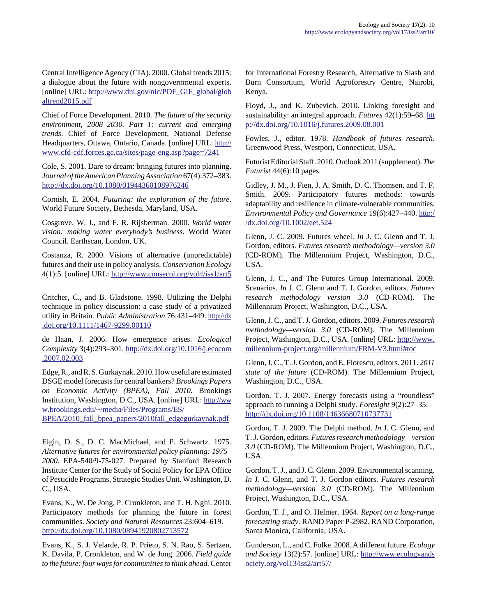Central Intelligence Agency (CIA). 2000. Global trends 2015: a dialogue about the future with nongovernmental experts. [online] URL: [http://www.dni.gov/nic/PDF\\_GIF\\_global/glob](http://www.dni.gov/nic/PDF_GIF_global/globaltrend2015.pdf) [altrend2015.pdf](http://www.dni.gov/nic/PDF_GIF_global/globaltrend2015.pdf)

Chief of Force Development. 2010. *The future of the security environment, 2008–2030. Part 1: current and emerging trends*. Chief of Force Development, National Defense Headquarters, Ottawa, Ontario, Canada. [online] URL: [http://](http://www.cfd-cdf.forces.gc.ca/sites/page-eng.asp?page=7241) [www.cfd-cdf.forces.gc.ca/sites/page-eng.asp?page=7241](http://www.cfd-cdf.forces.gc.ca/sites/page-eng.asp?page=7241)

Cole, S. 2001. Dare to dream: bringing futures into planning. *Journal of the American Planning Association* 67(4):372–383. <http://dx.doi.org/10.1080/01944360108976246>

Cornish, E. 2004. *Futuring: the exploration of the future*. World Future Society, Bethesda, Maryland, USA.

Cosgrove, W. J., and F. R. Rijsberman. 2000. *World water vision: making water everybody's business*. World Water Council. Earthscan, London, UK.

Costanza, R. 2000. Visions of alternative (unpredictable) futures and their use in policy analysis. *Conservation Ecology* 4(1):5. [online] URL: <http://www.consecol.org/vol4/iss1/art5>

Critcher, C., and B. Gladstone. 1998. Utilizing the Delphi technique in policy discussion: a case study of a privatized utility in Britain. *Public Administration* 76:431–449. [http://dx](http://dx.doi.org/10.1111/1467-9299.00110) [.doi.org/10.1111/1467-9299.00110](http://dx.doi.org/10.1111/1467-9299.00110)

de Haan, J. 2006. How emergence arises. *Ecological Complexity* 3(4):293–301. [http://dx.doi.org/10.1016/j.ecocom](http://dx.doi.org/10.1016/j.ecocom.2007.02.003) [.2007.02.003](http://dx.doi.org/10.1016/j.ecocom.2007.02.003)

Edge, R., and R. S. Gurkaynak. 2010. How useful are estimated DSGE model forecasts for central bankers? *Brookings Papers on Economic Activity (BPEA), Fall 2010*. Brookings Institution, Washington, D.C., USA. [online] URL: [http://ww](http://www.brookings.edu/~/media/Files/Programs/ES/BPEA/2010_fall_bpea_papers/2010fall_edgegurkaynak.pdf) w.brookings.edu/~/media/Files/Programs/ES/

[BPEA/2010\\_fall\\_bpea\\_papers/2010fall\\_edgegurkaynak.pdf](http://www.brookings.edu/~/media/Files/Programs/ES/BPEA/2010_fall_bpea_papers/2010fall_edgegurkaynak.pdf)

Elgin, D. S., D. C. MacMichael, and P. Schwartz. 1975. *Alternative futures for environmental policy planning: 1975– 2000*. EPA-540/9-75-027. Prepared by Stanford Research Institute Center for the Study of Social Policy for EPA Office of Pesticide Programs, Strategic Studies Unit. Washington, D. C., USA.

Evans, K., W. De Jong, P. Cronkleton, and T. H. Nghi. 2010. Participatory methods for planning the future in forest communities. *Society and Natural Resources* 23:604–619. <http://dx.doi.org/10.1080/08941920802713572>

Evans, K., S. J. Velarde, R. P. Prieto, S. N. Rao, S. Sertzen, K. Davila, P. Cronkleton, and W. de Jong. 2006. *Field guide to the future: four ways for communities to think ahead.* Center for International Forestry Research, Alternative to Slash and Burn Consortium, World Agroforestry Centre, Nairobi, Kenya.

Floyd, J., and K. Zubevich. 2010. Linking foresight and sustainability: an integral approach. *Futures* 42(1):59–68. [htt](http://dx.doi.org/10.1016/j.futures.2009.08.001) [p://dx.doi.org/10.1016/j.futures.2009.08.001](http://dx.doi.org/10.1016/j.futures.2009.08.001)

Fowles, J., editor. 1978. *Handbook of futures research*. Greenwood Press, Westport, Connecticut, USA.

Futurist Editorial Staff. 2010. Outlook 2011 (supplement). *The Futurist* 44(6):10 pages.

Gidley, J. M., J. Fien, J. A. Smith, D. C. Thomsen, and T. F. Smith. 2009. Participatory futures methods: towards adaptability and resilience in climate-vulnerable communities. *Environmental Policy and Governance* 19(6):427–440. [http:/](http://dx.doi.org/10.1002/eet.524) [/dx.doi.org/10.1002/eet.524](http://dx.doi.org/10.1002/eet.524)

Glenn, J. C. 2009. Futures wheel. *In* J. C. Glenn and T. J. Gordon, editors. *Futures research methodology—version 3.0* (CD-ROM). The Millennium Project, Washington, D.C., USA.

Glenn, J. C., and The Futures Group International. 2009. Scenarios. *In* J. C. Glenn and T. J. Gordon, editors. *Futures research methodology—version 3.0* (CD-ROM). The Millennium Project, Washington, D.C., USA.

Glenn, J. C., and T. J. Gordon, editors. 2009. *Futures research methodology—version 3.0* (CD-ROM)*.* The Millennium Project, Washington, D.C., USA. [online] URL: [http://www.](http://www.millennium-project.org/millennium/FRM-V3.html#toc) [millennium-project.org/millennium/FRM-V3.html#toc](http://www.millennium-project.org/millennium/FRM-V3.html#toc)

Glenn, J. C., T. J. Gordon, and E. Florescu, editors. 2011. *2011 state of the future* (CD-ROM). The Millennium Project, Washington, D.C., USA.

Gordon, T. J. 2007. Energy forecasts using a "roundless" approach to running a Delphi study. *Foresight* 9(2):27–35. <http://dx.doi.org/10.1108/14636680710737731>

Gordon, T. J. 2009. The Delphi method. *In* J. C. Glenn, and T. J. Gordon, editors. *Futures research methodology—version 3.0* (CD-ROM). The Millennium Project, Washington, D.C., USA.

Gordon, T. J., and J. C. Glenn. 2009. Environmental scanning. *In* J. C. Glenn, and T. J. Gordon editors. *Futures research methodology—version 3.0* (CD-ROM). The Millennium Project, Washington, D.C., USA.

Gordon, T. J., and O. Helmer. 1964. *Report on a long-range forecasting study*. RAND Paper P-2982. RAND Corporation, Santa Monica, California, USA.

Gunderson, L., and C. Folke. 2008. A different future. *Ecology and Society* 13(2):57. [online] URL: [http://www.ecologyands](http://www.ecologyandsociety.org/vol13/iss2/art57/) [ociety.org/vol13/iss2/art57/](http://www.ecologyandsociety.org/vol13/iss2/art57/)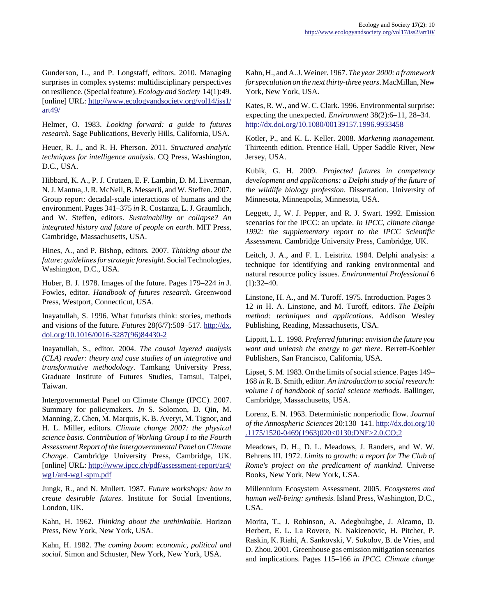Gunderson, L., and P. Longstaff, editors. 2010. Managing surprises in complex systems: multidisciplinary perspectives on resilience. (Special feature). *Ecology and Society* 14(1):49. [online] URL: [http://www.ecologyandsociety.org/vol14/iss1/](http://www.ecologyandsociety.org/vol14/iss1/art49/) [art49/](http://www.ecologyandsociety.org/vol14/iss1/art49/)

Helmer, O. 1983. *Looking forward: a guide to futures research*. Sage Publications, Beverly Hills, California, USA.

Heuer, R. J., and R. H. Pherson. 2011. *Structured analytic techniques for intelligence analysis.* CQ Press, Washington, D.C., USA.

Hibbard, K. A., P. J. Crutzen, E. F. Lambin, D. M. Liverman, N. J. Mantua, J. R. McNeil, B. Messerli, and W. Steffen. 2007. Group report: decadal-scale interactions of humans and the environment. Pages 341–375 *in* R. Costanza, L. J. Graumlich, and W. Steffen, editors. *Sustainability or collapse? An integrated history and future of people on earth*. MIT Press, Cambridge, Massachusetts, USA.

Hines, A., and P. Bishop, editors. 2007. *Thinking about the future: guidelines for strategic foresight*. Social Technologies, Washington, D.C., USA.

Huber, B. J. 1978. Images of the future. Pages 179–224 *in* J. Fowles, editor. *Handbook of futures research*. Greenwood Press, Westport, Connecticut, USA.

Inayatullah, S. 1996. What futurists think: stories, methods and visions of the future. *Futures* 28(6/7):509–517. [http://dx.](http://dx.doi.org/10.1016/0016-3287(96)84430-2) [doi.org/10.1016/0016-3287\(96\)84430-2](http://dx.doi.org/10.1016/0016-3287(96)84430-2)

Inayatullah, S., editor. 2004. *The causal layered analysis (CLA) reader: theory and case studies of an integrative and transformative methodology*. Tamkang University Press, Graduate Institute of Futures Studies, Tamsui, Taipei, Taiwan.

Intergovernmental Panel on Climate Change (IPCC). 2007. Summary for policymakers. *In* S. Solomon, D. Qin, M. Manning, Z. Chen, M. Marquis, K. B. Averyt, M. Tignor, and H. L. Miller, editors. *Climate change 2007: the physical science basis. Contribution of Working Group I to the Fourth Assessment Report of the Intergovernmental Panel on Climate Change*. Cambridge University Press, Cambridge, UK. [online] URL: [http://www.ipcc.ch/pdf/assessment-report/ar4/](http://www.ipcc.ch/pdf/assessment-report/ar4/wg1/ar4-wg1-spm.pdf) [wg1/ar4-wg1-spm.pdf](http://www.ipcc.ch/pdf/assessment-report/ar4/wg1/ar4-wg1-spm.pdf)

Jungk, R., and N. Mullert. 1987. *Future workshops: how to create desirable futures*. Institute for Social Inventions, London, UK.

Kahn, H. 1962. *Thinking about the unthinkable*. Horizon Press, New York, New York, USA.

Kahn, H. 1982. *The coming boom: economic, political and social*. Simon and Schuster, New York, New York, USA.

Kahn, H., and A. J. Weiner. 1967. *The year 2000: a framework for speculation on the next thirty-three years*. MacMillan, New York, New York, USA.

Kates, R. W., and W. C. Clark. 1996. Environmental surprise: expecting the unexpected. *Environment* 38(2):6–11, 28–34. <http://dx.doi.org/10.1080/00139157.1996.9933458>

Kotler, P., and K. L. Keller. 2008. *Marketing management*. Thirteenth edition. Prentice Hall, Upper Saddle River, New Jersey, USA.

Kubik, G. H. 2009. *Projected futures in competency development and applications: a Delphi study of the future of the wildlife biology profession*. Dissertation. University of Minnesota, Minneapolis, Minnesota, USA.

Leggett, J., W. J. Pepper, and R. J. Swart. 1992. Emission scenarios for the IPCC: an update. *In IPCC, climate change 1992: the supplementary report to the IPCC Scientific Assessment*. Cambridge University Press, Cambridge, UK.

Leitch, J. A., and F. L. Leistritz. 1984. Delphi analysis: a technique for identifying and ranking environmental and natural resource policy issues. *Environmental Professional* 6  $(1):32-40.$ 

Linstone, H. A., and M. Turoff. 1975. Introduction. Pages 3– 12 *in* H. A. Linstone, and M. Turoff, editors. *The Delphi method: techniques and applications*. Addison Wesley Publishing, Reading, Massachusetts, USA.

Lippitt, L. L. 1998. *Preferred futuring: envision the future you want and unleash the energy to get there*. Berrett-Koehler Publishers, San Francisco, California, USA.

Lipset, S. M. 1983. On the limits of social science. Pages 149– 168 *in* R. B. Smith, editor. *An introduction to social research: volume I of handbook of social science methods*. Ballinger, Cambridge, Massachusetts, USA.

Lorenz, E. N. 1963. Deterministic nonperiodic flow. *Journal of the Atmospheric Sciences* 20:130–141. [http://dx.doi.org/10](http://dx.doi.org/10.1175/1520-0469(1963)020<0130:DNF>2.0.CO;2) [.1175/1520-0469\(1963\)020<0130:DNF>2.0.CO;2](http://dx.doi.org/10.1175/1520-0469(1963)020<0130:DNF>2.0.CO;2)

Meadows, D. H., D. L. Meadows, J. Randers, and W. W. Behrens III. 1972. *Limits to growth: a report for The Club of Rome's project on the predicament of mankind*. Universe Books, New York, New York, USA.

Millennium Ecosystem Assessment. 2005. *Ecosystems and human well-being: synthesis*. Island Press, Washington, D.C., USA.

Morita, T., J. Robinson, A. Adegbulugbe, J. Alcamo, D. Herbert, E. L. La Rovere, N. Nakicenovic, H. Pitcher, P. Raskin, K. Riahi, A. Sankovski, V. Sokolov, B. de Vries, and D. Zhou. 2001. Greenhouse gas emission mitigation scenarios and implications. Pages 115–166 *in IPCC. Climate change*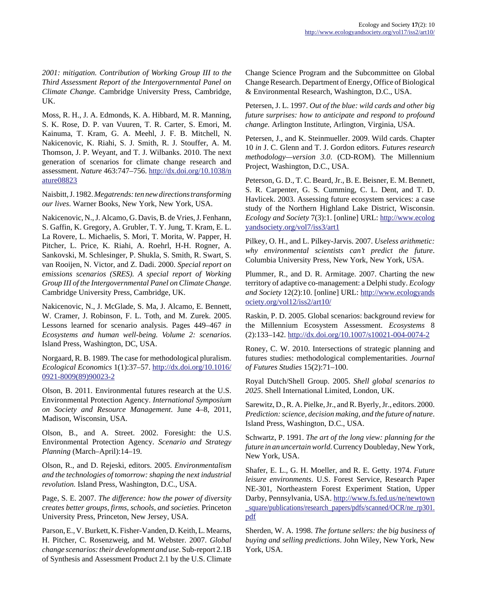*2001: mitigation. Contribution of Working Group III to the Third Assessment Report of the Intergovernmental Panel on Climate Change*. Cambridge University Press, Cambridge, UK.

Moss, R. H., J. A. Edmonds, K. A. Hibbard, M. R. Manning, S. K. Rose, D. P. van Vuuren, T. R. Carter, S. Emori, M. Kainuma, T. Kram, G. A. Meehl, J. F. B. Mitchell, N. Nakicenovic, K. Riahi, S. J. Smith, R. J. Stouffer, A. M. Thomson, J. P. Weyant, and T. J. Wilbanks. 2010. The next generation of scenarios for climate change research and assessment. *Nature* 463:747–756. [http://dx.doi.org/10.1038/n](http://dx.doi.org/10.1038/nature08823) [ature08823](http://dx.doi.org/10.1038/nature08823)

Naisbitt, J. 1982. *Megatrends: ten new directions transforming our lives*. Warner Books, New York, New York, USA.

Nakicenovic, N., J. Alcamo, G. Davis, B. de Vries, J. Fenhann, S. Gaffin, K. Gregory, A. Grubler, T. Y. Jung, T. Kram, E. L. La Rovere, L. Michaelis, S. Mori, T. Morita, W. Papper, H. Pitcher, L. Price, K. Riahi, A. Roehrl, H-H. Rogner, A. Sankovski, M. Schlesinger, P. Shukla, S. Smith, R. Swart, S. van Rooijen, N. Victor, and Z. Dadi. 2000. *Special report on emissions scenarios (SRES). A special report of Working Group III of the Intergovernmental Panel on Climate Change*. Cambridge University Press, Cambridge, UK.

Nakicenovic, N., J. McGlade, S. Ma, J. Alcamo, E. Bennett, W. Cramer, J. Robinson, F. L. Toth, and M. Zurek. 2005. Lessons learned for scenario analysis. Pages 449–467 *in Ecosystems and human well-being. Volume 2: scenarios*. Island Press, Washington, DC, USA.

Norgaard, R. B. 1989. The case for methodological pluralism. *Ecological Economics* 1(1):37–57. [http://dx.doi.org/10.1016/](http://dx.doi.org/10.1016/0921-8009(89)90023-2) [0921-8009\(89\)90023-2](http://dx.doi.org/10.1016/0921-8009(89)90023-2)

Olson, B. 2011. Environmental futures research at the U.S. Environmental Protection Agency. *International Symposium on Society and Resource Management*. June 4–8, 2011, Madison, Wisconsin, USA.

Olson, B., and A. Street. 2002. Foresight: the U.S. Environmental Protection Agency. *Scenario and Strategy Planning* (March–April):14–19.

Olson, R., and D. Rejeski, editors. 2005. *Environmentalism and the technologies of tomorrow: shaping the next industrial revolution.* Island Press, Washington, D.C., USA.

Page, S. E. 2007. *The difference: how the power of diversity creates better groups, firms, schools, and societies.* Princeton University Press, Princeton, New Jersey, USA.

Parson, E., V. Burkett, K. Fisher-Vanden, D. Keith, L. Mearns, H. Pitcher, C. Rosenzweig, and M. Webster. 2007. *Global change scenarios: their development and use*. Sub-report 2.1B of Synthesis and Assessment Product 2.1 by the U.S. Climate Change Science Program and the Subcommittee on Global Change Research. Department of Energy, Office of Biological & Environmental Research, Washington, D.C., USA.

Petersen, J. L. 1997. *Out of the blue: wild cards and other big future surprises: how to anticipate and respond to profound change.* Arlington Institute, Arlington, Virginia, USA.

Petersen, J., and K. Steinmueller. 2009. Wild cards. Chapter 10 *in* J. C. Glenn and T. J. Gordon editors. *Futures research methodology—version 3.0*. (CD-ROM). The Millennium Project, Washington, D.C., USA.

Peterson, G. D., T. C. Beard, Jr., B. E. Beisner, E. M. Bennett, S. R. Carpenter, G. S. Cumming, C. L. Dent, and T. D. Havlicek. 2003. Assessing future ecosystem services: a case study of the Northern Highland Lake District, Wisconsin. *Ecology and Society* 7(3):1. [online] URL: [http://www.ecolog](http://www.ecologyandsociety.org/vol7/iss3/art1) [yandsociety.org/vol7/iss3/art1](http://www.ecologyandsociety.org/vol7/iss3/art1)

Pilkey, O. H., and L. Pilkey-Jarvis. 2007. *Useless arithmetic: why environmental scientists can't predict the future*. Columbia University Press, New York, New York, USA.

Plummer, R., and D. R. Armitage. 2007. Charting the new territory of adaptive co-management: a Delphi study. *Ecology and Society* 12(2):10. [online] URL: [http://www.ecologyands](http://www.ecologyandsociety.org/vol12/iss2/art10/) [ociety.org/vol12/iss2/art10/](http://www.ecologyandsociety.org/vol12/iss2/art10/)

Raskin, P. D. 2005. Global scenarios: background review for the Millennium Ecosystem Assessment. *Ecosystems* 8 (2):133–142.<http://dx.doi.org/10.1007/s10021-004-0074-2>

Roney, C. W. 2010. Intersections of strategic planning and futures studies: methodological complementarities. *Journal of Futures Studies* 15(2):71–100.

Royal Dutch/Shell Group. 2005. *Shell global scenarios to 2025*. Shell International Limited, London, UK.

Sarewitz, D., R. A. Pielke, Jr., and R. Byerly, Jr., editors. 2000. *Prediction: science, decision making, and the future of nature*. Island Press, Washington, D.C., USA.

Schwartz, P. 1991. *The art of the long view: planning for the future in an uncertain world*. Currency Doubleday, New York, New York, USA.

Shafer, E. L., G. H. Moeller, and R. E. Getty. 1974. *Future leisure environments*. U.S. Forest Service, Research Paper NE-301, Northeastern Forest Experiment Station, Upper Darby, Pennsylvania, USA. [http://www.fs.fed.us/ne/newtown](http://www.fs.fed.us/ne/newtown_square/publications/research_papers/pdfs/scanned/OCR/ne_rp301.pdf) \_square/publications/research\_papers/pdfs/scanned/OCR/ne\_rp301. [pdf](http://www.fs.fed.us/ne/newtown_square/publications/research_papers/pdfs/scanned/OCR/ne_rp301.pdf)

Sherden, W. A. 1998. *The fortune sellers: the big business of buying and selling predictions*. John Wiley, New York, New York, USA.